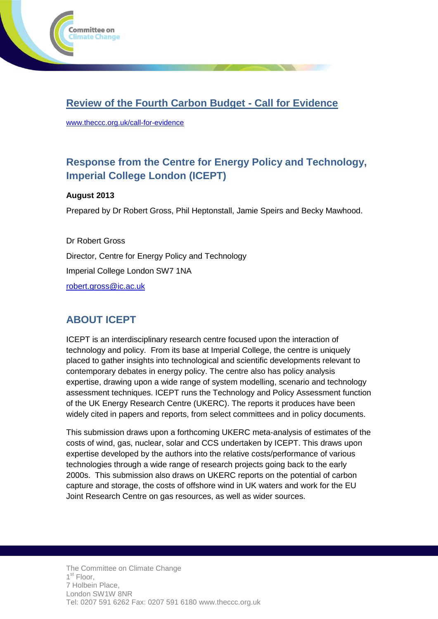

## **Review of the Fourth Carbon Budget - Call for Evidence**

[www.theccc.org.uk/call-for-evidence](http://www.theccc.org.uk/call-for-evidence)

# **Response from the Centre for Energy Policy and Technology, Imperial College London (ICEPT)**

## **August 2013**

Prepared by Dr Robert Gross, Phil Heptonstall, Jamie Speirs and Becky Mawhood.

Dr Robert Gross Director, Centre for Energy Policy and Technology Imperial College London SW7 1NA [robert.gross@ic.ac.uk](mailto:robert.gross@ic.ac.uk)

## **ABOUT ICEPT**

ICEPT is an interdisciplinary research centre focused upon the interaction of technology and policy. From its base at Imperial College, the centre is uniquely placed to gather insights into technological and scientific developments relevant to contemporary debates in energy policy. The centre also has policy analysis expertise, drawing upon a wide range of system modelling, scenario and technology assessment techniques. ICEPT runs the Technology and Policy Assessment function of the UK Energy Research Centre (UKERC). The reports it produces have been widely cited in papers and reports, from select committees and in policy documents.

This submission draws upon a forthcoming UKERC meta-analysis of estimates of the costs of wind, gas, nuclear, solar and CCS undertaken by ICEPT. This draws upon expertise developed by the authors into the relative costs/performance of various technologies through a wide range of research projects going back to the early 2000s. This submission also draws on UKERC reports on the potential of carbon capture and storage, the costs of offshore wind in UK waters and work for the EU Joint Research Centre on gas resources, as well as wider sources.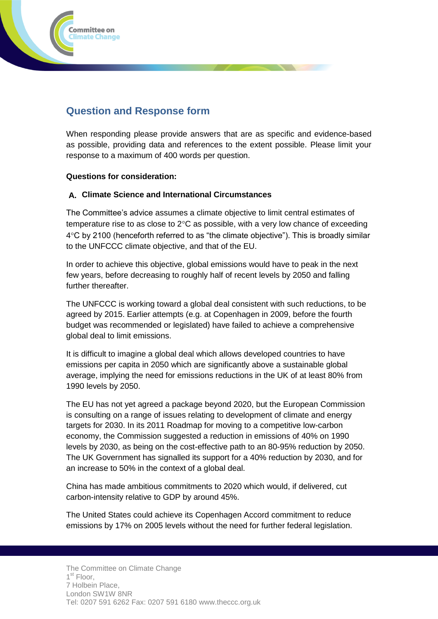

## **Question and Response form**

When responding please provide answers that are as specific and evidence-based as possible, providing data and references to the extent possible. Please limit your response to a maximum of 400 words per question.

### **Questions for consideration:**

### **A. Climate Science and International Circumstances**

The Committee's advice assumes a climate objective to limit central estimates of temperature rise to as close to  $2^{\circ}$ C as possible, with a very low chance of exceeding  $4^{\circ}$ C by 2100 (henceforth referred to as "the climate objective"). This is broadly similar to the UNFCCC climate objective, and that of the EU.

In order to achieve this objective, global emissions would have to peak in the next few years, before decreasing to roughly half of recent levels by 2050 and falling further thereafter.

The UNFCCC is working toward a global deal consistent with such reductions, to be agreed by 2015. Earlier attempts (e.g. at Copenhagen in 2009, before the fourth budget was recommended or legislated) have failed to achieve a comprehensive global deal to limit emissions.

It is difficult to imagine a global deal which allows developed countries to have emissions per capita in 2050 which are significantly above a sustainable global average, implying the need for emissions reductions in the UK of at least 80% from 1990 levels by 2050.

The EU has not yet agreed a package beyond 2020, but the European Commission is consulting on a range of issues relating to development of climate and energy targets for 2030. In its 2011 Roadmap for moving to a competitive low-carbon economy, the Commission suggested a reduction in emissions of 40% on 1990 levels by 2030, as being on the cost-effective path to an 80-95% reduction by 2050. The UK Government has signalled its support for a 40% reduction by 2030, and for an increase to 50% in the context of a global deal.

China has made ambitious commitments to 2020 which would, if delivered, cut carbon-intensity relative to GDP by around 45%.

The United States could achieve its Copenhagen Accord commitment to reduce emissions by 17% on 2005 levels without the need for further federal legislation.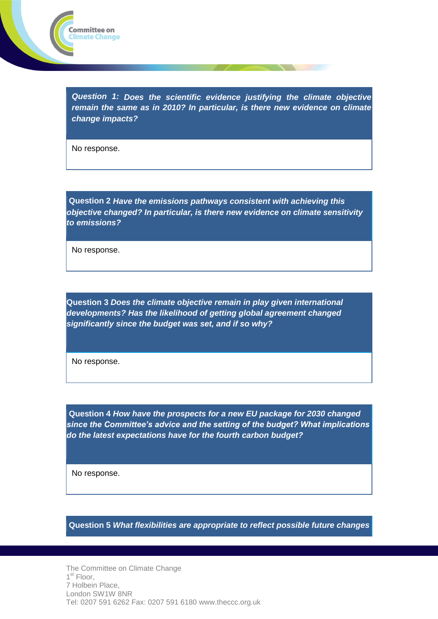

*Question 1: Does the scientific evidence justifying the climate objective remain the same as in 2010? In particular, is there new evidence on climate change impacts?*

No response.

**Question 2** *Have the emissions pathways consistent with achieving this objective changed? In particular, is there new evidence on climate sensitivity to emissions?*

No response.

**Question 3** *Does the climate objective remain in play given international developments? Has the likelihood of getting global agreement changed significantly since the budget was set, and if so why?*

No response.

**Question 4** *How have the prospects for a new EU package for 2030 changed since the Committee's advice and the setting of the budget? What implications do the latest expectations have for the fourth carbon budget?*

No response.

**Question 5** *What flexibilities are appropriate to reflect possible future changes* 

The Committee on Climate Change 1<sup>st</sup> Floor, 7 Holbein Place, London SW1W 8NR Tel: 0207 591 6262 Fax: 0207 591 6180 www.theccc.org.uk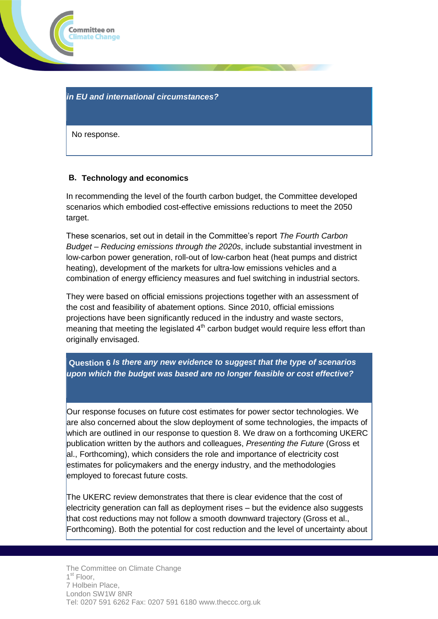

#### *in EU and international circumstances?*

No response.

#### **B. Technology and economics**

In recommending the level of the fourth carbon budget, the Committee developed scenarios which embodied cost-effective emissions reductions to meet the 2050 target.

These scenarios, set out in detail in the Committee's report *The Fourth Carbon Budget – Reducing emissions through the 2020s*, include substantial investment in low-carbon power generation, roll-out of low-carbon heat (heat pumps and district heating), development of the markets for ultra-low emissions vehicles and a combination of energy efficiency measures and fuel switching in industrial sectors.

They were based on official emissions projections together with an assessment of the cost and feasibility of abatement options. Since 2010, official emissions projections have been significantly reduced in the industry and waste sectors, meaning that meeting the legislated  $4<sup>th</sup>$  carbon budget would require less effort than originally envisaged.

## **Question 6** *Is there any new evidence to suggest that the type of scenarios upon which the budget was based are no longer feasible or cost effective?*

Our response focuses on future cost estimates for power sector technologies. We are also concerned about the slow deployment of some technologies, the impacts of which are outlined in our response to question 8. We draw on a forthcoming UKERC publication written by the authors and colleagues, *Presenting the Future* (Gross et al., Forthcoming), which considers the role and importance of electricity cost estimates for policymakers and the energy industry, and the methodologies employed to forecast future costs.

The UKERC review demonstrates that there is clear evidence that the cost of electricity generation can fall as deployment rises – but the evidence also suggests that cost reductions may not follow a smooth downward trajectory (Gross et al., Forthcoming). Both the potential for cost reduction and the level of uncertainty about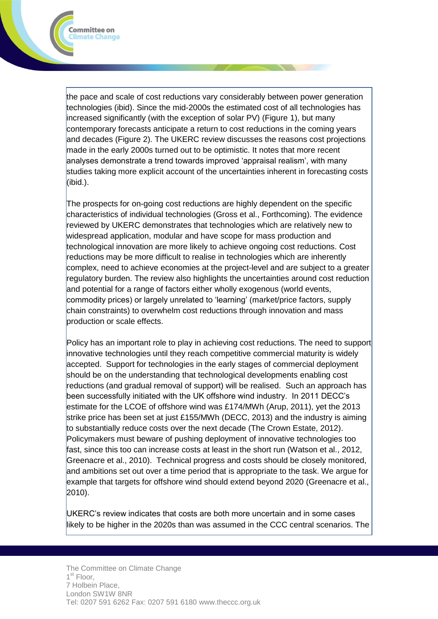the pace and scale of cost reductions vary considerably between power generation technologies (ibid). Since the mid-2000s the estimated cost of all technologies has increased significantly (with the exception of solar PV) (Figure 1), but many contemporary forecasts anticipate a return to cost reductions in the coming years and decades (Figure 2). The UKERC review discusses the reasons cost projections made in the early 2000s turned out to be optimistic. It notes that more recent analyses demonstrate a trend towards improved 'appraisal realism', with many studies taking more explicit account of the uncertainties inherent in forecasting costs (ibid.).

Committee on **Climate Change** 

The prospects for on-going cost reductions are highly dependent on the specific characteristics of individual technologies (Gross et al., Forthcoming). The evidence reviewed by UKERC demonstrates that technologies which are relatively new to widespread application, modular and have scope for mass production and technological innovation are more likely to achieve ongoing cost reductions. Cost reductions may be more difficult to realise in technologies which are inherently complex, need to achieve economies at the project-level and are subject to a greater regulatory burden. The review also highlights the uncertainties around cost reduction and potential for a range of factors either wholly exogenous (world events, commodity prices) or largely unrelated to 'learning' (market/price factors, supply chain constraints) to overwhelm cost reductions through innovation and mass production or scale effects.

Policy has an important role to play in achieving cost reductions. The need to support innovative technologies until they reach competitive commercial maturity is widely accepted. Support for technologies in the early stages of commercial deployment should be on the understanding that technological developments enabling cost reductions (and gradual removal of support) will be realised. Such an approach has been successfully initiated with the UK offshore wind industry. In 2011 DECC's estimate for the LCOE of offshore wind was £174/MWh (Arup, 2011), yet the 2013 strike price has been set at just £155/MWh (DECC, 2013) and the industry is aiming to substantially reduce costs over the next decade (The Crown Estate, 2012). Policymakers must beware of pushing deployment of innovative technologies too fast, since this too can increase costs at least in the short run (Watson et al., 2012, Greenacre et al., 2010). Technical progress and costs should be closely monitored, and ambitions set out over a time period that is appropriate to the task. We argue for example that targets for offshore wind should extend beyond 2020 (Greenacre et al., 2010).

UKERC's review indicates that costs are both more uncertain and in some cases likely to be higher in the 2020s than was assumed in the CCC central scenarios. The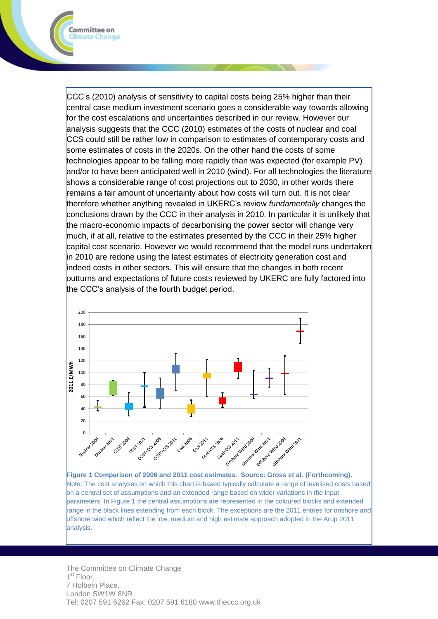CCC's (2010) analysis of sensitivity to capital costs being 25% higher than their central case medium investment scenario goes a considerable way towards allowing for the cost escalations and uncertainties described in our review. However our analysis suggests that the CCC (2010) estimates of the costs of nuclear and coal CCS could still be rather low in comparison to estimates of contemporary costs and some estimates of costs in the 2020s. On the other hand the costs of some technologies appear to be falling more rapidly than was expected (for example PV) and/or to have been anticipated well in 2010 (wind). For all technologies the literature shows a considerable range of cost projections out to 2030, in other words there remains a fair amount of uncertainty about how costs will turn out. It is not clear therefore whether anything revealed in UKERC's review *fundamentally* changes the conclusions drawn by the CCC in their analysis in 2010. In particular it is unlikely that the macro-economic impacts of decarbonising the power sector will change very much, if at all, relative to the estimates presented by the CCC in their 25% higher capital cost scenario. However we would recommend that the model runs undertaken in 2010 are redone using the latest estimates of electricity generation cost and indeed costs in other sectors. This will ensure that the changes in both recent outturns and expectations of future costs reviewed by UKERC are fully factored into the CCC's analysis of the fourth budget period.

Committee on limate Change



Note: The cost analyses on which this chart is based typically calculate a range of levelised costs based on a central set of assumptions and an extended range based on wider variations in the input parameters. In Figure 1 the central assumptions are represented in the coloured blocks and extended range in the black lines extending from each block. The exceptions are the 2011 entries for onshore and offshore wind which reflect the low, medium and high estimate approach adopted in the Arup 2011 analysis.

The Committee on Climate Change 1<sup>st</sup> Floor, 7 Holbein Place, London SW1W 8NR Tel: 0207 591 6262 Fax: 0207 591 6180 www.theccc.org.uk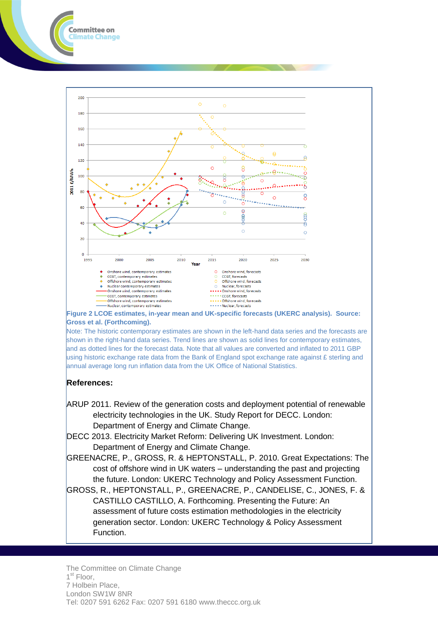

**Figure 2 LCOE estimates, in-year mean and UK-specific forecasts (UKERC analysis). Source: Gross et al. (Forthcoming).**

Note: The historic contemporary estimates are shown in the left-hand data series and the forecasts are shown in the right-hand data series. Trend lines are shown as solid lines for contemporary estimates, and as dotted lines for the forecast data. Note that all values are converted and inflated to 2011 GBP using historic exchange rate data from the Bank of England spot exchange rate against  $E$  sterling and annual average long run inflation data from the UK Office of National Statistics.

#### **References:**

Committee on **limate Change** 

- ARUP 2011. Review of the generation costs and deployment potential of renewable electricity technologies in the UK. Study Report for DECC. London: Department of Energy and Climate Change.
- DECC 2013. Electricity Market Reform: Delivering UK Investment. London: Department of Energy and Climate Change.
- GREENACRE, P., GROSS, R. & HEPTONSTALL, P. 2010. Great Expectations: The cost of offshore wind in UK waters – understanding the past and projecting the future. London: UKERC Technology and Policy Assessment Function.

GROSS, R., HEPTONSTALL, P., GREENACRE, P., CANDELISE, C., JONES, F. & CASTILLO CASTILLO, A. Forthcoming. Presenting the Future: An assessment of future costs estimation methodologies in the electricity generation sector. London: UKERC Technology & Policy Assessment Function.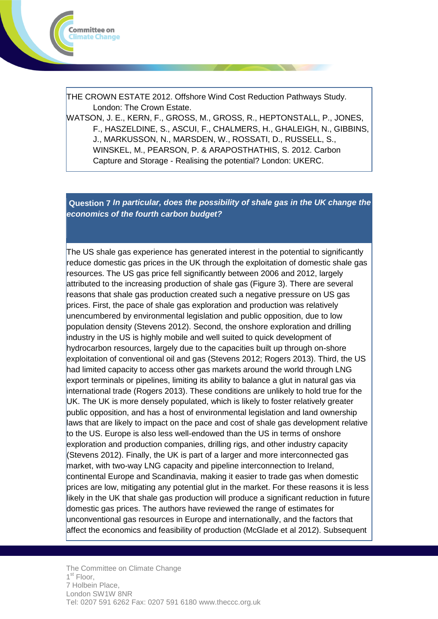

THE CROWN ESTATE 2012. Offshore Wind Cost Reduction Pathways Study. London: The Crown Estate.

WATSON, J. E., KERN, F., GROSS, M., GROSS, R., HEPTONSTALL, P., JONES, F., HASZELDINE, S., ASCUI, F., CHALMERS, H., GHALEIGH, N., GIBBINS, J., MARKUSSON, N., MARSDEN, W., ROSSATI, D., RUSSELL, S., WINSKEL, M., PEARSON, P. & ARAPOSTHATHIS, S. 2012. Carbon Capture and Storage - Realising the potential? London: UKERC.

**Question 7** *In particular, does the possibility of shale gas in the UK change the economics of the fourth carbon budget?*

The US shale gas experience has generated interest in the potential to significantly reduce domestic gas prices in the UK through the exploitation of domestic shale gas resources. The US gas price fell significantly between 2006 and 2012, largely attributed to the increasing production of shale gas (Figure 3). There are several reasons that shale gas production created such a negative pressure on US gas prices. First, the pace of shale gas exploration and production was relatively unencumbered by environmental legislation and public opposition, due to low population density (Stevens 2012). Second, the onshore exploration and drilling industry in the US is highly mobile and well suited to quick development of hydrocarbon resources, largely due to the capacities built up through on-shore exploitation of conventional oil and gas (Stevens 2012; Rogers 2013). Third, the US had limited capacity to access other gas markets around the world through LNG export terminals or pipelines, limiting its ability to balance a glut in natural gas via international trade (Rogers 2013). These conditions are unlikely to hold true for the UK. The UK is more densely populated, which is likely to foster relatively greater public opposition, and has a host of environmental legislation and land ownership laws that are likely to impact on the pace and cost of shale gas development relative to the US. Europe is also less well-endowed than the US in terms of onshore exploration and production companies, drilling rigs, and other industry capacity (Stevens 2012). Finally, the UK is part of a larger and more interconnected gas market, with two-way LNG capacity and pipeline interconnection to Ireland, continental Europe and Scandinavia, making it easier to trade gas when domestic prices are low, mitigating any potential glut in the market. For these reasons it is less likely in the UK that shale gas production will produce a significant reduction in future domestic gas prices. The authors have reviewed the range of estimates for unconventional gas resources in Europe and internationally, and the factors that affect the economics and feasibility of production (McGlade et al 2012). Subsequent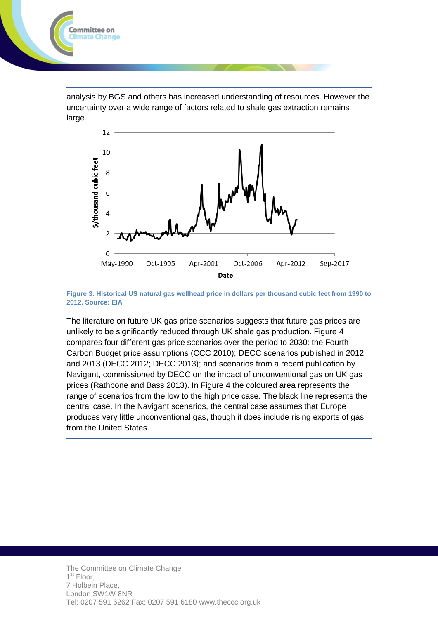analysis by BGS and others has increased understanding of resources. However the uncertainty over a wide range of factors related to shale gas extraction remains large.

ommittee on: imate Change



**Figure 3: Historical US natural gas wellhead price in dollars per thousand cubic feet from 1990 to 2012. Source: EIA**

The literature on future UK gas price scenarios suggests that future gas prices are unlikely to be significantly reduced through UK shale gas production. Figure 4 compares four different gas price scenarios over the period to 2030: the Fourth Carbon Budget price assumptions (CCC 2010); DECC scenarios published in 2012 and 2013 (DECC 2012; DECC 2013); and scenarios from a recent publication by Navigant, commissioned by DECC on the impact of unconventional gas on UK gas prices (Rathbone and Bass 2013). In Figure 4 the coloured area represents the range of scenarios from the low to the high price case. The black line represents the central case. In the Navigant scenarios, the central case assumes that Europe produces very little unconventional gas, though it does include rising exports of gas from the United States.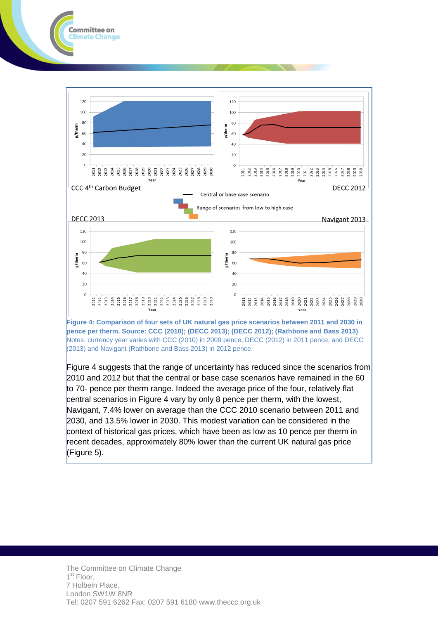

Committee on limate Change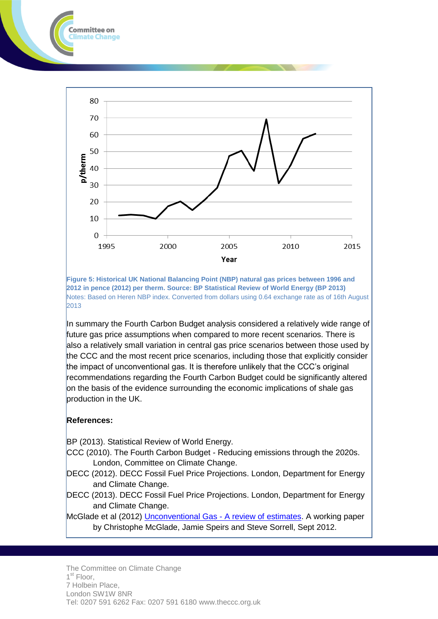

**Figure 5: Historical UK National Balancing Point (NBP) natural gas prices between 1996 and 2012 in pence (2012) per therm. Source: BP Statistical Review of World Energy (BP 2013)** Notes: Based on Heren NBP index. Converted from dollars using 0.64 exchange rate as of 16th August 2013

In summary the Fourth Carbon Budget analysis considered a relatively wide range of future gas price assumptions when compared to more recent scenarios. There is also a relatively small variation in central gas price scenarios between those used by the CCC and the most recent price scenarios, including those that explicitly consider the impact of unconventional gas. It is therefore unlikely that the CCC's original recommendations regarding the Fourth Carbon Budget could be significantly altered on the basis of the evidence surrounding the economic implications of shale gas production in the UK.

#### **References:**

ommittee on imate Change

BP (2013). Statistical Review of World Energy.

- CCC (2010). The Fourth Carbon Budget Reducing emissions through the 2020s. London, Committee on Climate Change.
- DECC (2012). DECC Fossil Fuel Price Projections. London, Department for Energy and Climate Change.
- DECC (2013). DECC Fossil Fuel Price Projections. London, Department for Energy and Climate Change.

McGlade et al (2012) [Unconventional Gas -](https://workspace.imperial.ac.uk/icept/Public/121022%20Unconventional%20gas%20-%20A%20review%20of%20estimates%20(ICEPT%20working%20paper).pdf) A review of estimates. A working paper by Christophe McGlade, Jamie Speirs and Steve Sorrell, Sept 2012.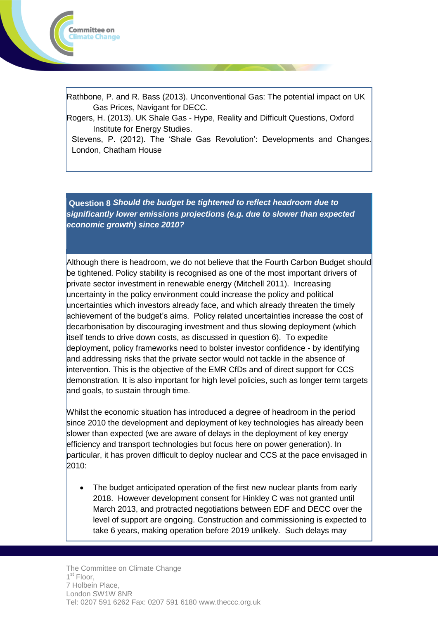

Rathbone, P. and R. Bass (2013). Unconventional Gas: The potential impact on UK Gas Prices, Navigant for DECC.

Rogers, H. (2013). UK Shale Gas - Hype, Reality and Difficult Questions, Oxford Institute for Energy Studies.

Stevens, P. (2012). The 'Shale Gas Revolution': Developments and Changes. London, Chatham House

**Question 8** *Should the budget be tightened to reflect headroom due to significantly lower emissions projections (e.g. due to slower than expected economic growth) since 2010?*

Although there is headroom, we do not believe that the Fourth Carbon Budget should be tightened. Policy stability is recognised as one of the most important drivers of private sector investment in renewable energy (Mitchell 2011). Increasing uncertainty in the policy environment could increase the policy and political uncertainties which investors already face, and which already threaten the timely achievement of the budget's aims. Policy related uncertainties increase the cost of decarbonisation by discouraging investment and thus slowing deployment (which itself tends to drive down costs, as discussed in question 6). To expedite deployment, policy frameworks need to bolster investor confidence - by identifying and addressing risks that the private sector would not tackle in the absence of intervention. This is the objective of the EMR CfDs and of direct support for CCS demonstration. It is also important for high level policies, such as longer term targets and goals, to sustain through time.

Whilst the economic situation has introduced a degree of headroom in the period since 2010 the development and deployment of key technologies has already been slower than expected (we are aware of delays in the deployment of key energy efficiency and transport technologies but focus here on power generation). In particular, it has proven difficult to deploy nuclear and CCS at the pace envisaged in 2010:

 The budget anticipated operation of the first new nuclear plants from early 2018. However development consent for Hinkley C was not granted until March 2013, and protracted negotiations between EDF and DECC over the level of support are ongoing. Construction and commissioning is expected to take 6 years, making operation before 2019 unlikely. Such delays may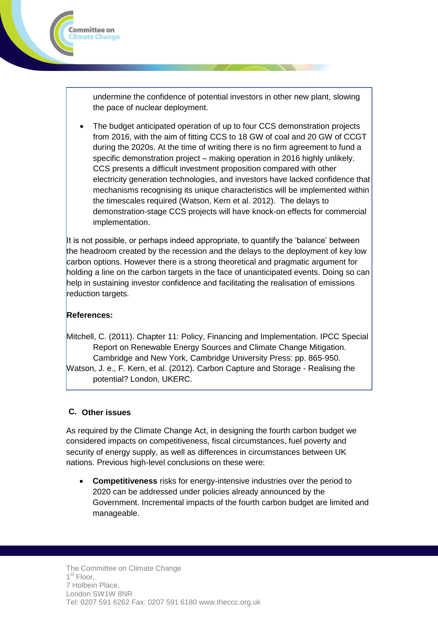undermine the confidence of potential investors in other new plant, slowing the pace of nuclear deployment.

 The budget anticipated operation of up to four CCS demonstration projects from 2016, with the aim of fitting CCS to 18 GW of coal and 20 GW of CCGT during the 2020s. At the time of writing there is no firm agreement to fund a specific demonstration project – making operation in 2016 highly unlikely. CCS presents a difficult investment proposition compared with other electricity generation technologies, and investors have lacked confidence that mechanisms recognising its unique characteristics will be implemented within the timescales required (Watson, Kern et al. 2012). The delays to demonstration-stage CCS projects will have knock-on effects for commercial implementation.

It is not possible, or perhaps indeed appropriate, to quantify the 'balance' between the headroom created by the recession and the delays to the deployment of key low carbon options. However there is a strong theoretical and pragmatic argument for holding a line on the carbon targets in the face of unanticipated events. Doing so can help in sustaining investor confidence and facilitating the realisation of emissions reduction targets.

#### **References:**

Committee on limate Change

Mitchell, C. (2011). Chapter 11: Policy, Financing and Implementation. IPCC Special Report on Renewable Energy Sources and Climate Change Mitigation. Cambridge and New York, Cambridge University Press: pp. 865-950. Watson, J. e., F. Kern, et al. (2012). Carbon Capture and Storage - Realising the potential? London, UKERC.

## **C. Other issues**

As required by the Climate Change Act, in designing the fourth carbon budget we considered impacts on competitiveness, fiscal circumstances, fuel poverty and security of energy supply, as well as differences in circumstances between UK nations. Previous high-level conclusions on these were:

 **Competitiveness** risks for energy-intensive industries over the period to 2020 can be addressed under policies already announced by the Government. Incremental impacts of the fourth carbon budget are limited and manageable.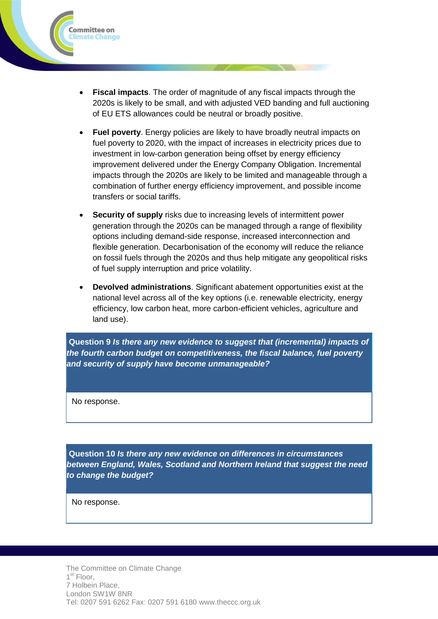

- **Fiscal impacts**. The order of magnitude of any fiscal impacts through the 2020s is likely to be small, and with adjusted VED banding and full auctioning of EU ETS allowances could be neutral or broadly positive.
- **Fuel poverty**. Energy policies are likely to have broadly neutral impacts on fuel poverty to 2020, with the impact of increases in electricity prices due to investment in low-carbon generation being offset by energy efficiency improvement delivered under the Energy Company Obligation. Incremental impacts through the 2020s are likely to be limited and manageable through a combination of further energy efficiency improvement, and possible income transfers or social tariffs.
- **Security of supply** risks due to increasing levels of intermittent power generation through the 2020s can be managed through a range of flexibility options including demand-side response, increased interconnection and flexible generation. Decarbonisation of the economy will reduce the reliance on fossil fuels through the 2020s and thus help mitigate any geopolitical risks of fuel supply interruption and price volatility.
- **Devolved administrations**. Significant abatement opportunities exist at the national level across all of the key options (i.e. renewable electricity, energy efficiency, low carbon heat, more carbon-efficient vehicles, agriculture and land use).

**Question 9** *Is there any new evidence to suggest that (incremental) impacts of the fourth carbon budget on competitiveness, the fiscal balance, fuel poverty and security of supply have become unmanageable?*

No response.

**Question 10** *Is there any new evidence on differences in circumstances between England, Wales, Scotland and Northern Ireland that suggest the need to change the budget?*

No response.